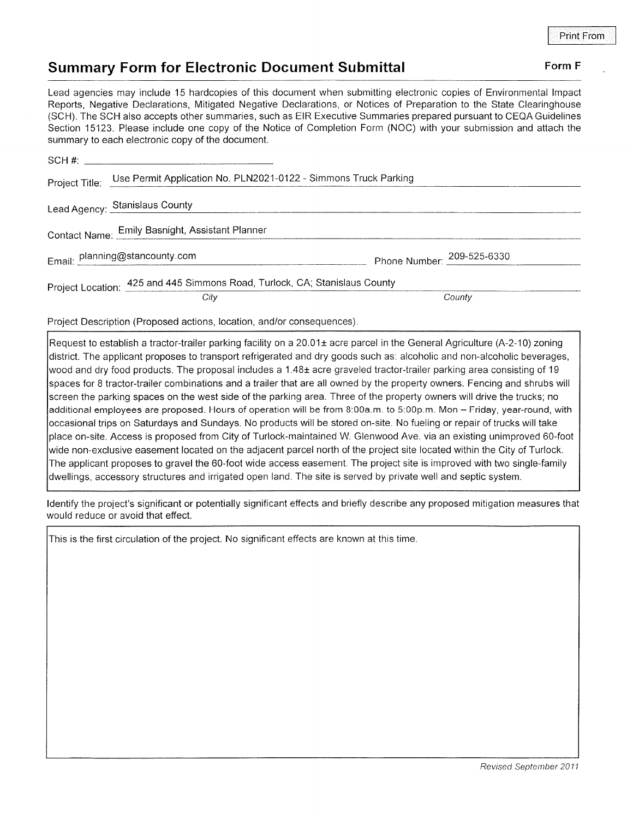## Summary Form for Electronic Document Submittal Form F

Lead agencies may include 15 hardcopies of this document when submitting electronic copies of Environmental lmpact Reporls, Negative Declarations, Mltigated Negative Declarations, or Notices of Preparation to the State Clearinghouse (SCH). The SCH also accepts other summaries, such as EIR Executive Summaries prepared pursuant to CEQA Guidelines Section 15123. Please include one copy of the Notice of Completion Form (NOC) with your submission and attach the summary to each electronic copy of the document.

| Project Title: | Use Permit Application No. PLN2021-0122 - Simmons Truck Parking            |                            |
|----------------|----------------------------------------------------------------------------|----------------------------|
|                | Lead Agency: Stanislaus County                                             |                            |
|                | Contact Name: Emily Basnight, Assistant Planner                            |                            |
|                | Email: planning@stancounty.com                                             | Phone Number: 209-525-6330 |
|                | Project Location: 425 and 445 Simmons Road, Turlock, CA; Stanislaus County |                            |
|                | City                                                                       | County                     |

Project Description (Proposed actions, location, and/or consequences)

Request to establish a tractor-trailer parking facility on a  $20.01\pm$  acre parcel in the General Agriculture (A-2-10) zoning district. The applicant proposes to transport refrigerated and dry goods such as: alcoholic and non-alcoholic beverages, wood and dry food products. The proposal includes a 1.48± acre graveled tractor-trailer parking area consisting of 19 spaces for 8 tractor-trailer combinations and a trailer that are all owned by the property owners. Fencing and shrubs will screen the parking spaces on the west side of the parking area. Three of the property owners will drive the trucks; no additional employees are proposed. Hours of operation will be from 8:00a.m. to 5:00p.m. Mon - Friday, year-round, with occasional trips on Saturdays and Sundays. No products will be stored on-site. No fueling or repair of trucks will take place on-site. Access is proposed from City of Turlock-maintained W. Glenwood Ave. via an existing unimproved 60-foot wide non-exclusive easement located on the adjacent parcel north of the project site located within the City of Turlock. The applicant proposes to gravel the 60-foot wide access easement. The project site is improved with two single-family dwellings, accessory structures and irrigated open land. The site is served by private well and septic system.

ldentify the project's significant or potentially significant effects and briefly describe any proposed mitigation measures that would reduce or avoid that effect.

This is the first circulation of the project. No significant effects are known at this time